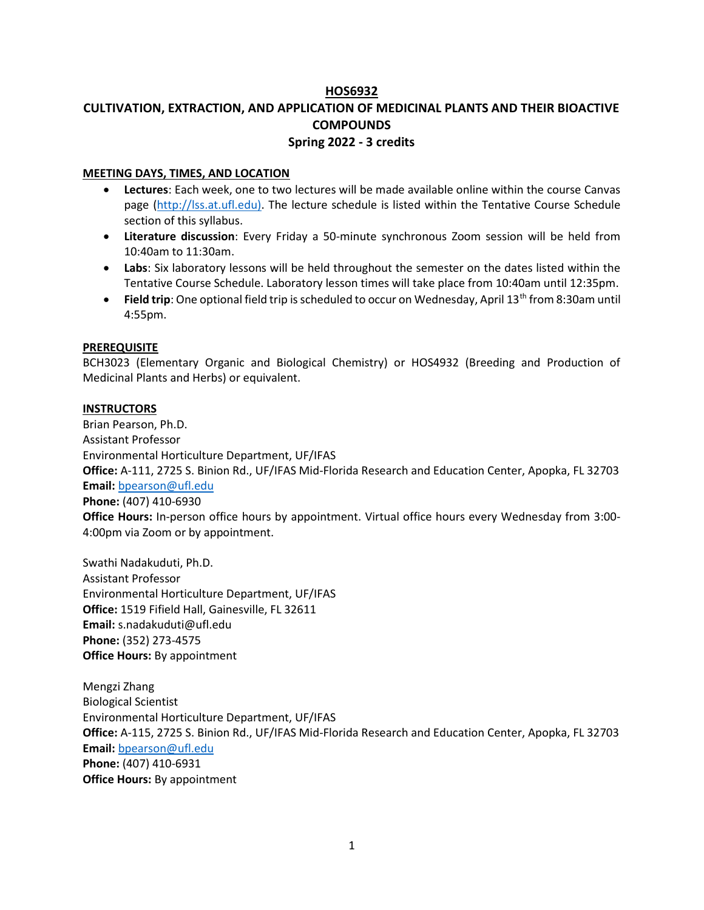# HOS6932

# CULTIVATION, EXTRACTION, AND APPLICATION OF MEDICINAL PLANTS AND THEIR BIOACTIVE **COMPOUNDS** Spring 2022 - 3 credits

# MEETING DAYS, TIMES, AND LOCATION

- Lectures: Each week, one to two lectures will be made available online within the course Canvas page (http://lss.at.ufl.edu). The lecture schedule is listed within the Tentative Course Schedule section of this syllabus.
- Literature discussion: Every Friday a 50-minute synchronous Zoom session will be held from 10:40am to 11:30am.
- Labs: Six laboratory lessons will be held throughout the semester on the dates listed within the Tentative Course Schedule. Laboratory lesson times will take place from 10:40am until 12:35pm.
- **Field trip:** One optional field trip is scheduled to occur on Wednesday, April 13<sup>th</sup> from 8:30am until 4:55pm.

# **PREREQUISITE**

BCH3023 (Elementary Organic and Biological Chemistry) or HOS4932 (Breeding and Production of Medicinal Plants and Herbs) or equivalent.

# **INSTRUCTORS**

Brian Pearson, Ph.D. Assistant Professor Environmental Horticulture Department, UF/IFAS Office: A-111, 2725 S. Binion Rd., UF/IFAS Mid-Florida Research and Education Center, Apopka, FL 32703 Email: bpearson@ufl.edu Phone: (407) 410-6930 Office Hours: In-person office hours by appointment. Virtual office hours every Wednesday from 3:00-

Swathi Nadakuduti, Ph.D. Assistant Professor Environmental Horticulture Department, UF/IFAS Office: 1519 Fifield Hall, Gainesville, FL 32611 Email: s.nadakuduti@ufl.edu Phone: (352) 273-4575 Office Hours: By appointment

4:00pm via Zoom or by appointment.

Mengzi Zhang Biological Scientist Environmental Horticulture Department, UF/IFAS Office: A-115, 2725 S. Binion Rd., UF/IFAS Mid-Florida Research and Education Center, Apopka, FL 32703 Email: bpearson@ufl.edu Phone: (407) 410-6931 Office Hours: By appointment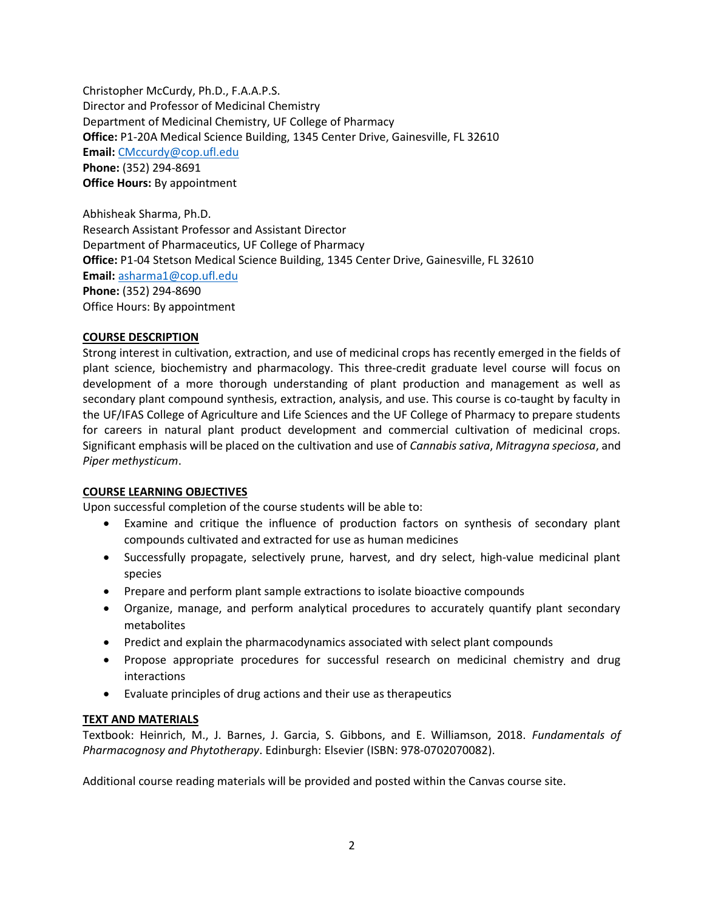Christopher McCurdy, Ph.D., F.A.A.P.S. Director and Professor of Medicinal Chemistry Department of Medicinal Chemistry, UF College of Pharmacy Office: P1-20A Medical Science Building, 1345 Center Drive, Gainesville, FL 32610 Email: CMccurdy@cop.ufl.edu Phone: (352) 294-8691 Office Hours: By appointment

Abhisheak Sharma, Ph.D. Research Assistant Professor and Assistant Director Department of Pharmaceutics, UF College of Pharmacy Office: P1-04 Stetson Medical Science Building, 1345 Center Drive, Gainesville, FL 32610 Email: asharma1@cop.ufl.edu Phone: (352) 294-8690 Office Hours: By appointment

# COURSE DESCRIPTION

Strong interest in cultivation, extraction, and use of medicinal crops has recently emerged in the fields of plant science, biochemistry and pharmacology. This three-credit graduate level course will focus on development of a more thorough understanding of plant production and management as well as secondary plant compound synthesis, extraction, analysis, and use. This course is co-taught by faculty in the UF/IFAS College of Agriculture and Life Sciences and the UF College of Pharmacy to prepare students for careers in natural plant product development and commercial cultivation of medicinal crops. Significant emphasis will be placed on the cultivation and use of Cannabis sativa, Mitragyna speciosa, and Piper methysticum.

# COURSE LEARNING OBJECTIVES

Upon successful completion of the course students will be able to:

- Examine and critique the influence of production factors on synthesis of secondary plant compounds cultivated and extracted for use as human medicines
- Successfully propagate, selectively prune, harvest, and dry select, high-value medicinal plant species
- Prepare and perform plant sample extractions to isolate bioactive compounds
- Organize, manage, and perform analytical procedures to accurately quantify plant secondary metabolites
- Predict and explain the pharmacodynamics associated with select plant compounds
- Propose appropriate procedures for successful research on medicinal chemistry and drug interactions
- Evaluate principles of drug actions and their use as therapeutics

# TEXT AND MATERIALS

Textbook: Heinrich, M., J. Barnes, J. Garcia, S. Gibbons, and E. Williamson, 2018. Fundamentals of Pharmacognosy and Phytotherapy. Edinburgh: Elsevier (ISBN: 978-0702070082).

Additional course reading materials will be provided and posted within the Canvas course site.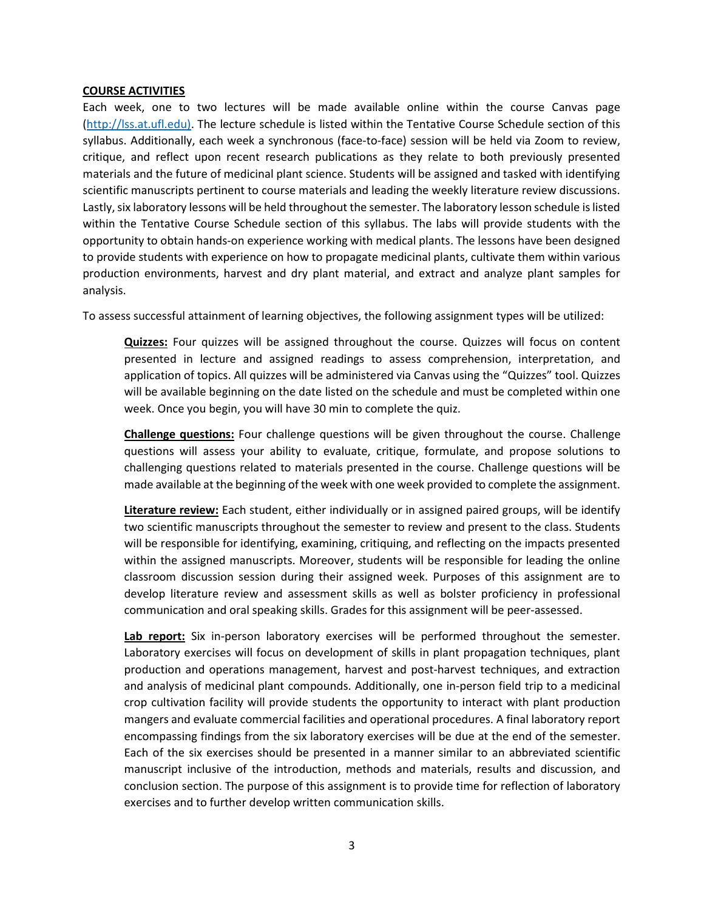#### COURSE ACTIVITIES

Each week, one to two lectures will be made available online within the course Canvas page (http://lss.at.ufl.edu). The lecture schedule is listed within the Tentative Course Schedule section of this syllabus. Additionally, each week a synchronous (face-to-face) session will be held via Zoom to review, critique, and reflect upon recent research publications as they relate to both previously presented materials and the future of medicinal plant science. Students will be assigned and tasked with identifying scientific manuscripts pertinent to course materials and leading the weekly literature review discussions. Lastly, six laboratory lessons will be held throughout the semester. The laboratory lesson schedule is listed within the Tentative Course Schedule section of this syllabus. The labs will provide students with the opportunity to obtain hands-on experience working with medical plants. The lessons have been designed to provide students with experience on how to propagate medicinal plants, cultivate them within various production environments, harvest and dry plant material, and extract and analyze plant samples for analysis.

To assess successful attainment of learning objectives, the following assignment types will be utilized:

Quizzes: Four quizzes will be assigned throughout the course. Quizzes will focus on content presented in lecture and assigned readings to assess comprehension, interpretation, and application of topics. All quizzes will be administered via Canvas using the "Quizzes" tool. Quizzes will be available beginning on the date listed on the schedule and must be completed within one week. Once you begin, you will have 30 min to complete the quiz.

Challenge questions: Four challenge questions will be given throughout the course. Challenge questions will assess your ability to evaluate, critique, formulate, and propose solutions to challenging questions related to materials presented in the course. Challenge questions will be made available at the beginning of the week with one week provided to complete the assignment.

Literature review: Each student, either individually or in assigned paired groups, will be identify two scientific manuscripts throughout the semester to review and present to the class. Students will be responsible for identifying, examining, critiquing, and reflecting on the impacts presented within the assigned manuscripts. Moreover, students will be responsible for leading the online classroom discussion session during their assigned week. Purposes of this assignment are to develop literature review and assessment skills as well as bolster proficiency in professional communication and oral speaking skills. Grades for this assignment will be peer-assessed.

Lab report: Six in-person laboratory exercises will be performed throughout the semester. Laboratory exercises will focus on development of skills in plant propagation techniques, plant production and operations management, harvest and post-harvest techniques, and extraction and analysis of medicinal plant compounds. Additionally, one in-person field trip to a medicinal crop cultivation facility will provide students the opportunity to interact with plant production mangers and evaluate commercial facilities and operational procedures. A final laboratory report encompassing findings from the six laboratory exercises will be due at the end of the semester. Each of the six exercises should be presented in a manner similar to an abbreviated scientific manuscript inclusive of the introduction, methods and materials, results and discussion, and conclusion section. The purpose of this assignment is to provide time for reflection of laboratory exercises and to further develop written communication skills.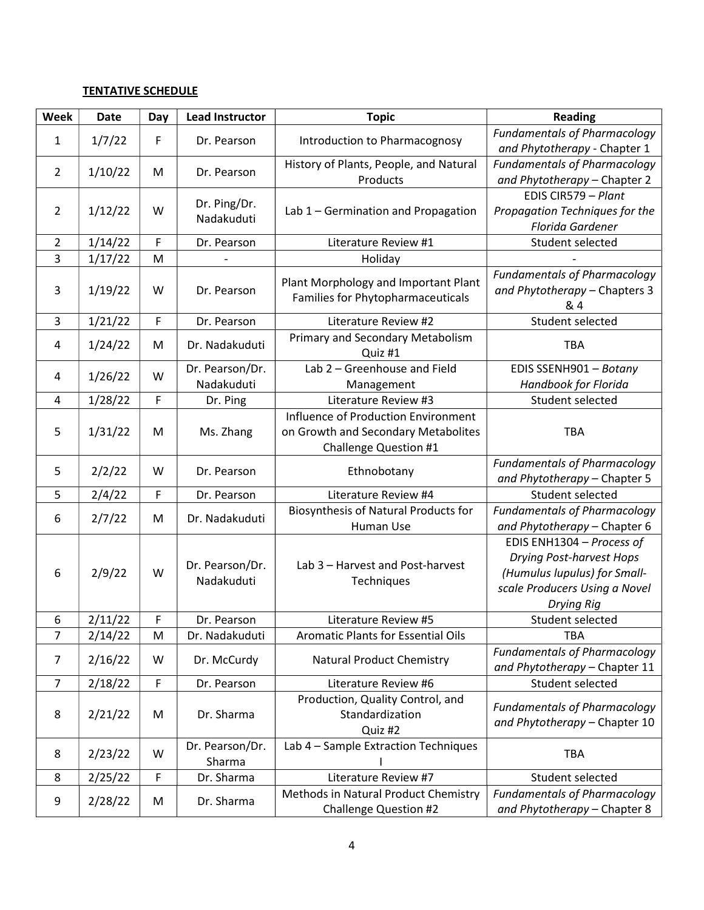# **TENTATIVE SCHEDULE**

| Week           | <b>Date</b> | Day | <b>Lead Instructor</b>        | <b>Topic</b>                                                                                        | <b>Reading</b>                                                                                                                              |
|----------------|-------------|-----|-------------------------------|-----------------------------------------------------------------------------------------------------|---------------------------------------------------------------------------------------------------------------------------------------------|
| 1              | 1/7/22      | F   | Dr. Pearson                   | Introduction to Pharmacognosy                                                                       | <b>Fundamentals of Pharmacology</b><br>and Phytotherapy - Chapter 1                                                                         |
| $\overline{2}$ | 1/10/22     | M   | Dr. Pearson                   | History of Plants, People, and Natural<br>Products                                                  | <b>Fundamentals of Pharmacology</b><br>and Phytotherapy - Chapter 2                                                                         |
| $\overline{2}$ | 1/12/22     | W   | Dr. Ping/Dr.<br>Nadakuduti    | Lab 1 - Germination and Propagation                                                                 | EDIS CIR579 - Plant<br>Propagation Techniques for the<br>Florida Gardener                                                                   |
| $\overline{2}$ | 1/14/22     | F   | Dr. Pearson                   | Literature Review #1                                                                                | Student selected                                                                                                                            |
| 3              | 1/17/22     | M   |                               | Holiday                                                                                             |                                                                                                                                             |
| 3              | 1/19/22     | W   | Dr. Pearson                   | Plant Morphology and Important Plant<br>Families for Phytopharmaceuticals                           | <b>Fundamentals of Pharmacology</b><br>and Phytotherapy - Chapters 3<br>& 4                                                                 |
| 3              | 1/21/22     | F   | Dr. Pearson                   | Literature Review #2                                                                                | Student selected                                                                                                                            |
| 4              | 1/24/22     | M   | Dr. Nadakuduti                | Primary and Secondary Metabolism<br>Quiz #1                                                         | <b>TBA</b>                                                                                                                                  |
| 4              | 1/26/22     | W   | Dr. Pearson/Dr.<br>Nadakuduti | Lab 2 - Greenhouse and Field<br>Management                                                          | EDIS SSENH901 - Botany<br>Handbook for Florida                                                                                              |
| 4              | 1/28/22     | F   | Dr. Ping                      | Literature Review #3                                                                                | Student selected                                                                                                                            |
| 5              | 1/31/22     | M   | Ms. Zhang                     | Influence of Production Environment<br>on Growth and Secondary Metabolites<br>Challenge Question #1 | <b>TBA</b>                                                                                                                                  |
| 5              | 2/2/22      | W   | Dr. Pearson                   | Ethnobotany                                                                                         | <b>Fundamentals of Pharmacology</b><br>and Phytotherapy - Chapter 5                                                                         |
| 5              | 2/4/22      | F   | Dr. Pearson                   | Literature Review #4                                                                                | Student selected                                                                                                                            |
| 6              | 2/7/22      | M   | Dr. Nadakuduti                | <b>Biosynthesis of Natural Products for</b><br>Human Use                                            | <b>Fundamentals of Pharmacology</b><br>and Phytotherapy - Chapter 6                                                                         |
| 6              | 2/9/22      | W   | Dr. Pearson/Dr.<br>Nadakuduti | Lab 3 - Harvest and Post-harvest<br>Techniques                                                      | EDIS ENH1304 - Process of<br><b>Drying Post-harvest Hops</b><br>(Humulus lupulus) for Small-<br>scale Producers Using a Novel<br>Drying Rig |
| 6              | 2/11/22     | F   | Dr. Pearson                   | Literature Review #5                                                                                | Student selected                                                                                                                            |
| $\overline{7}$ | 2/14/22     | M   | Dr. Nadakuduti                | <b>Aromatic Plants for Essential Oils</b>                                                           | <b>TBA</b>                                                                                                                                  |
| 7              | 2/16/22     | W   | Dr. McCurdy                   | <b>Natural Product Chemistry</b>                                                                    | <b>Fundamentals of Pharmacology</b><br>and Phytotherapy - Chapter 11                                                                        |
| $\overline{7}$ | 2/18/22     | F   | Dr. Pearson                   | Literature Review #6                                                                                | Student selected                                                                                                                            |
| 8              | 2/21/22     | M   | Dr. Sharma                    | Production, Quality Control, and<br>Standardization<br>Quiz #2                                      | <b>Fundamentals of Pharmacology</b><br>and Phytotherapy - Chapter 10                                                                        |
| 8              | 2/23/22     | W   | Dr. Pearson/Dr.<br>Sharma     | Lab 4 - Sample Extraction Techniques                                                                | <b>TBA</b>                                                                                                                                  |
| 8              | 2/25/22     | F   | Dr. Sharma                    | Literature Review #7                                                                                | Student selected                                                                                                                            |
| 9              | 2/28/22     | M   | Dr. Sharma                    | Methods in Natural Product Chemistry<br><b>Challenge Question #2</b>                                | <b>Fundamentals of Pharmacology</b><br>and Phytotherapy - Chapter 8                                                                         |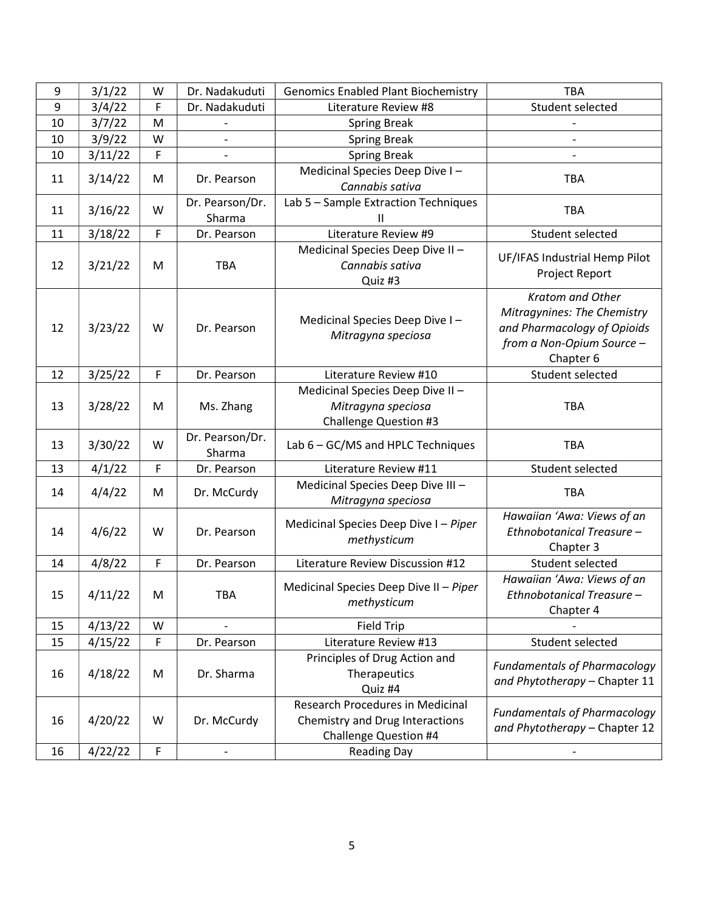| 9  | 3/1/22  | W | Dr. Nadakuduti            | <b>Genomics Enabled Plant Biochemistry</b>                                                                 | TBA                                                                                                                      |
|----|---------|---|---------------------------|------------------------------------------------------------------------------------------------------------|--------------------------------------------------------------------------------------------------------------------------|
| 9  | 3/4/22  | F | Dr. Nadakuduti            | Literature Review #8                                                                                       | Student selected                                                                                                         |
| 10 | 3/7/22  | M |                           | <b>Spring Break</b>                                                                                        |                                                                                                                          |
| 10 | 3/9/22  | W | $\qquad \qquad -$         | <b>Spring Break</b>                                                                                        | $\qquad \qquad -$                                                                                                        |
| 10 | 3/11/22 | F |                           | <b>Spring Break</b>                                                                                        |                                                                                                                          |
| 11 | 3/14/22 | M | Dr. Pearson               | Medicinal Species Deep Dive I-<br>Cannabis sativa                                                          | TBA                                                                                                                      |
| 11 | 3/16/22 | W | Dr. Pearson/Dr.<br>Sharma | Lab 5 - Sample Extraction Techniques<br>Ш                                                                  | TBA                                                                                                                      |
| 11 | 3/18/22 | F | Dr. Pearson               | Literature Review #9                                                                                       | Student selected                                                                                                         |
| 12 | 3/21/22 | M | <b>TBA</b>                | Medicinal Species Deep Dive II-<br>Cannabis sativa<br>Quiz #3                                              | UF/IFAS Industrial Hemp Pilot<br>Project Report                                                                          |
| 12 | 3/23/22 | W | Dr. Pearson               | Medicinal Species Deep Dive I-<br>Mitragyna speciosa                                                       | Kratom and Other<br>Mitragynines: The Chemistry<br>and Pharmacology of Opioids<br>from a Non-Opium Source -<br>Chapter 6 |
| 12 | 3/25/22 | F | Dr. Pearson               | Literature Review #10                                                                                      | Student selected                                                                                                         |
| 13 | 3/28/22 | M | Ms. Zhang                 | Medicinal Species Deep Dive II-<br>Mitragyna speciosa<br><b>Challenge Question #3</b>                      | <b>TBA</b>                                                                                                               |
| 13 | 3/30/22 | W | Dr. Pearson/Dr.<br>Sharma | Lab 6 - GC/MS and HPLC Techniques                                                                          | <b>TBA</b>                                                                                                               |
| 13 | 4/1/22  | F | Dr. Pearson               | Literature Review #11                                                                                      | Student selected                                                                                                         |
| 14 | 4/4/22  | M | Dr. McCurdy               | Medicinal Species Deep Dive III-<br>Mitragyna speciosa                                                     | <b>TBA</b>                                                                                                               |
| 14 | 4/6/22  | W | Dr. Pearson               | Medicinal Species Deep Dive I - Piper<br>methysticum                                                       | Hawaiian 'Awa: Views of an<br>Ethnobotanical Treasure -<br>Chapter 3                                                     |
| 14 | 4/8/22  | F | Dr. Pearson               | Literature Review Discussion #12                                                                           | Student selected                                                                                                         |
| 15 | 4/11/22 | M | TBA                       | Medicinal Species Deep Dive II - Piper<br>methysticum                                                      | Hawaiian 'Awa: Views of an<br>Ethnobotanical Treasure -<br>Chapter 4                                                     |
| 15 | 4/13/22 | W |                           | <b>Field Trip</b>                                                                                          |                                                                                                                          |
| 15 | 4/15/22 | F | Dr. Pearson               | Literature Review #13                                                                                      | Student selected                                                                                                         |
| 16 | 4/18/22 | M | Dr. Sharma                | Principles of Drug Action and<br>Therapeutics<br>Quiz #4                                                   | <b>Fundamentals of Pharmacology</b><br>and Phytotherapy - Chapter 11                                                     |
| 16 | 4/20/22 | W | Dr. McCurdy               | <b>Research Procedures in Medicinal</b><br>Chemistry and Drug Interactions<br><b>Challenge Question #4</b> | <b>Fundamentals of Pharmacology</b><br>and Phytotherapy - Chapter 12                                                     |
| 16 | 4/22/22 | F |                           | <b>Reading Day</b>                                                                                         |                                                                                                                          |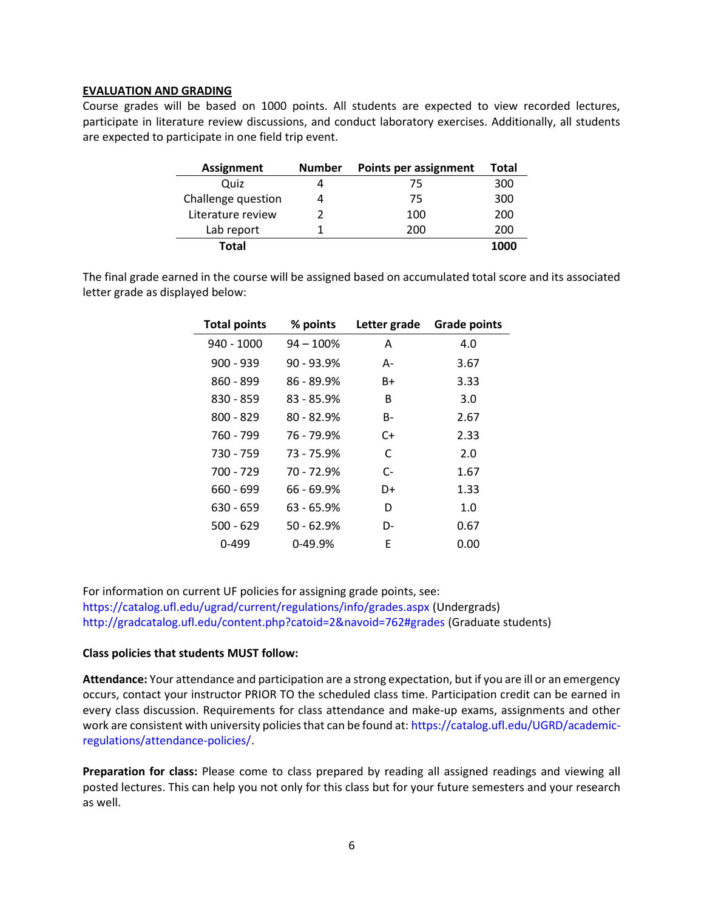#### EVALUATION AND GRADING

Course grades will be based on 1000 points. All students are expected to view recorded lectures, participate in literature review discussions, and conduct laboratory exercises. Additionally, all students are expected to participate in one field trip event.

| <b>Assignment</b>  | <b>Number</b> | <b>Points per assignment</b> | <b>Total</b> |
|--------------------|---------------|------------------------------|--------------|
| Quiz               |               | 75                           | 300          |
| Challenge question |               | 75                           | 300          |
| Literature review  |               | 100                          | 200          |
| Lab report         |               | 200                          | 200          |
| Total              |               |                              | 1000         |

The final grade earned in the course will be assigned based on accumulated total score and its associated letter grade as displayed below:

| <b>Total points</b> | % points     | Letter grade | <b>Grade points</b> |
|---------------------|--------------|--------------|---------------------|
| 940 - 1000          | $94 - 100%$  | Α            | 4.0                 |
| $900 - 939$         | $90 - 93.9%$ | А-           | 3.67                |
| $860 - 899$         | $86 - 89.9%$ | B+           | 3.33                |
| 830 - 859           | $83 - 85.9%$ | B            | 3.0                 |
| $800 - 829$         | $80 - 82.9%$ | B-           | 2.67                |
| 760 - 799           | 76 - 79.9%   | C+           | 2.33                |
| 730 - 759           | 73 - 75.9%   | C            | 2.0                 |
| 700 - 729           | 70 - 72.9%   | $C-$         | 1.67                |
| 660 - 699           | 66 - 69.9%   | D+           | 1.33                |
| $630 - 659$         | 63 - 65.9%   | D            | 1.0                 |
| $500 - 629$         | 50 - 62.9%   | D-           | 0.67                |
| $0 - 499$           | $0-49.9%$    | F            | 0.00                |

For information on current UF policies for assigning grade points, see: https://catalog.ufl.edu/ugrad/current/regulations/info/grades.aspx (Undergrads) http://gradcatalog.ufl.edu/content.php?catoid=2&navoid=762#grades (Graduate students)

#### Class policies that students MUST follow:

Attendance: Your attendance and participation are a strong expectation, but if you are ill or an emergency occurs, contact your instructor PRIOR TO the scheduled class time. Participation credit can be earned in every class discussion. Requirements for class attendance and make-up exams, assignments and other work are consistent with university policies that can be found at: https://catalog.ufl.edu/UGRD/academicregulations/attendance-policies/.

Preparation for class: Please come to class prepared by reading all assigned readings and viewing all posted lectures. This can help you not only for this class but for your future semesters and your research as well.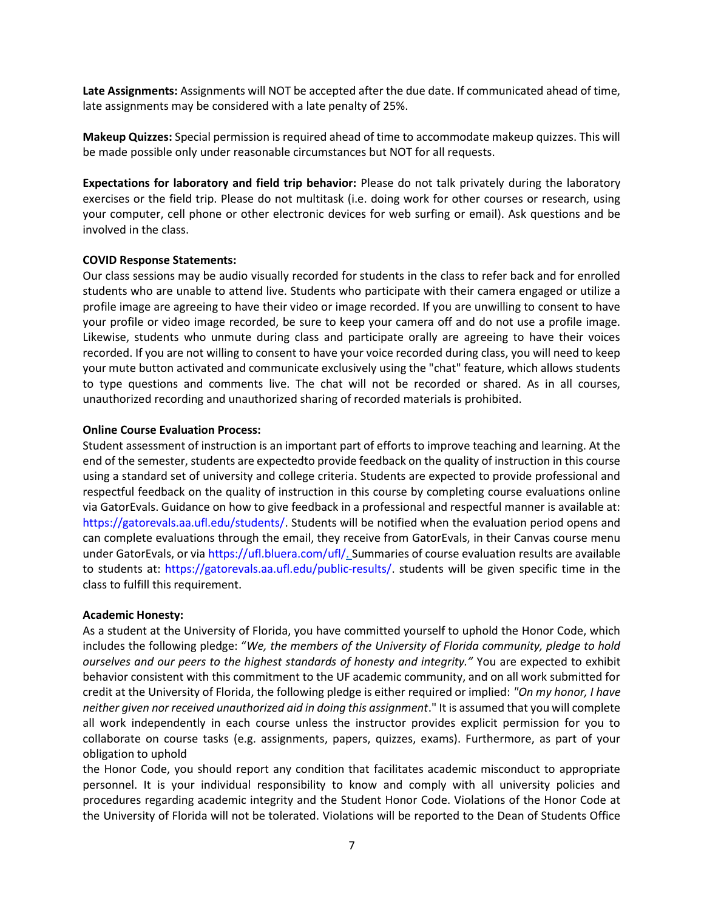Late Assignments: Assignments will NOT be accepted after the due date. If communicated ahead of time, late assignments may be considered with a late penalty of 25%.

Makeup Quizzes: Special permission is required ahead of time to accommodate makeup quizzes. This will be made possible only under reasonable circumstances but NOT for all requests.

Expectations for laboratory and field trip behavior: Please do not talk privately during the laboratory exercises or the field trip. Please do not multitask (i.e. doing work for other courses or research, using your computer, cell phone or other electronic devices for web surfing or email). Ask questions and be involved in the class.

# COVID Response Statements:

Our class sessions may be audio visually recorded for students in the class to refer back and for enrolled students who are unable to attend live. Students who participate with their camera engaged or utilize a profile image are agreeing to have their video or image recorded. If you are unwilling to consent to have your profile or video image recorded, be sure to keep your camera off and do not use a profile image. Likewise, students who unmute during class and participate orally are agreeing to have their voices recorded. If you are not willing to consent to have your voice recorded during class, you will need to keep your mute button activated and communicate exclusively using the "chat" feature, which allows students to type questions and comments live. The chat will not be recorded or shared. As in all courses, unauthorized recording and unauthorized sharing of recorded materials is prohibited.

# Online Course Evaluation Process:

Student assessment of instruction is an important part of efforts to improve teaching and learning. At the end of the semester, students are expectedto provide feedback on the quality of instruction in this course using a standard set of university and college criteria. Students are expected to provide professional and respectful feedback on the quality of instruction in this course by completing course evaluations online via GatorEvals. Guidance on how to give feedback in a professional and respectful manner is available at: https://gatorevals.aa.ufl.edu/students/. Students will be notified when the evaluation period opens and can complete evaluations through the email, they receive from GatorEvals, in their Canvas course menu under GatorEvals, or via https://ufl.bluera.com/ufl/. Summaries of course evaluation results are available to students at: https://gatorevals.aa.ufl.edu/public-results/. students will be given specific time in the class to fulfill this requirement.

#### Academic Honesty:

As a student at the University of Florida, you have committed yourself to uphold the Honor Code, which includes the following pledge: "We, the members of the University of Florida community, pledge to hold ourselves and our peers to the highest standards of honesty and integrity." You are expected to exhibit behavior consistent with this commitment to the UF academic community, and on all work submitted for credit at the University of Florida, the following pledge is either required or implied: "On my honor, I have neither given nor received unauthorized aid in doing this assignment." It is assumed that you will complete all work independently in each course unless the instructor provides explicit permission for you to collaborate on course tasks (e.g. assignments, papers, quizzes, exams). Furthermore, as part of your obligation to uphold

the Honor Code, you should report any condition that facilitates academic misconduct to appropriate personnel. It is your individual responsibility to know and comply with all university policies and procedures regarding academic integrity and the Student Honor Code. Violations of the Honor Code at the University of Florida will not be tolerated. Violations will be reported to the Dean of Students Office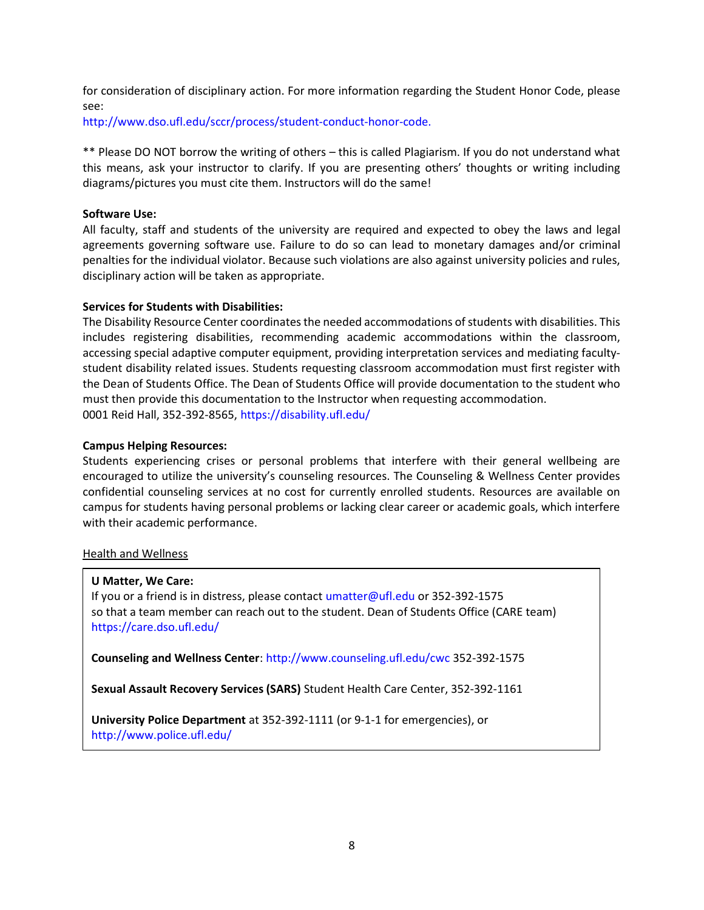for consideration of disciplinary action. For more information regarding the Student Honor Code, please see:

http://www.dso.ufl.edu/sccr/process/student-conduct-honor-code.

\*\* Please DO NOT borrow the writing of others – this is called Plagiarism. If you do not understand what this means, ask your instructor to clarify. If you are presenting others' thoughts or writing including diagrams/pictures you must cite them. Instructors will do the same!

# Software Use:

All faculty, staff and students of the university are required and expected to obey the laws and legal agreements governing software use. Failure to do so can lead to monetary damages and/or criminal penalties for the individual violator. Because such violations are also against university policies and rules, disciplinary action will be taken as appropriate.

# Services for Students with Disabilities:

The Disability Resource Center coordinates the needed accommodations of students with disabilities. This includes registering disabilities, recommending academic accommodations within the classroom, accessing special adaptive computer equipment, providing interpretation services and mediating facultystudent disability related issues. Students requesting classroom accommodation must first register with the Dean of Students Office. The Dean of Students Office will provide documentation to the student who must then provide this documentation to the Instructor when requesting accommodation. 0001 Reid Hall, 352-392-8565, https://disability.ufl.edu/

# Campus Helping Resources:

Students experiencing crises or personal problems that interfere with their general wellbeing are encouraged to utilize the university's counseling resources. The Counseling & Wellness Center provides confidential counseling services at no cost for currently enrolled students. Resources are available on campus for students having personal problems or lacking clear career or academic goals, which interfere with their academic performance.

# Health and Wellness

#### U Matter, We Care:

If you or a friend is in distress, please contact umatter@ufl.edu or 352-392-1575 so that a team member can reach out to the student. Dean of Students Office (CARE team) https://care.dso.ufl.edu/

Counseling and Wellness Center: http://www.counseling.ufl.edu/cwc 352-392-1575

Sexual Assault Recovery Services (SARS) Student Health Care Center, 352-392-1161

University Police Department at 352-392-1111 (or 9-1-1 for emergencies), or http://www.police.ufl.edu/